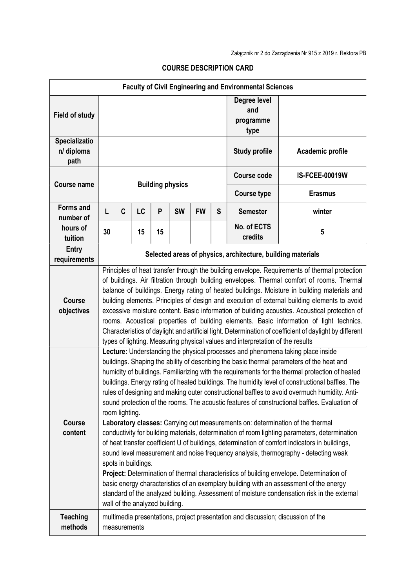| <b>Faculty of Civil Engineering and Environmental Sciences</b> |                                                                                                                                                                                                                                                                                                                                                                                                                                                                                                                                                                                                                                                                                                                                                                                     |                                                                                                                                                                                                                                                                                                                                                                                                                                                                                                                                                                                                                                                                                                                                                                                                                                                                                                                                                                                                                                                                                                                                                                                                                                                                                                                                 |    |    |           |           |   |                                          |                       |
|----------------------------------------------------------------|-------------------------------------------------------------------------------------------------------------------------------------------------------------------------------------------------------------------------------------------------------------------------------------------------------------------------------------------------------------------------------------------------------------------------------------------------------------------------------------------------------------------------------------------------------------------------------------------------------------------------------------------------------------------------------------------------------------------------------------------------------------------------------------|---------------------------------------------------------------------------------------------------------------------------------------------------------------------------------------------------------------------------------------------------------------------------------------------------------------------------------------------------------------------------------------------------------------------------------------------------------------------------------------------------------------------------------------------------------------------------------------------------------------------------------------------------------------------------------------------------------------------------------------------------------------------------------------------------------------------------------------------------------------------------------------------------------------------------------------------------------------------------------------------------------------------------------------------------------------------------------------------------------------------------------------------------------------------------------------------------------------------------------------------------------------------------------------------------------------------------------|----|----|-----------|-----------|---|------------------------------------------|-----------------------|
| <b>Field of study</b>                                          |                                                                                                                                                                                                                                                                                                                                                                                                                                                                                                                                                                                                                                                                                                                                                                                     |                                                                                                                                                                                                                                                                                                                                                                                                                                                                                                                                                                                                                                                                                                                                                                                                                                                                                                                                                                                                                                                                                                                                                                                                                                                                                                                                 |    |    |           |           |   | Degree level<br>and<br>programme<br>type |                       |
| <b>Specializatio</b><br>n/ diploma<br>path                     |                                                                                                                                                                                                                                                                                                                                                                                                                                                                                                                                                                                                                                                                                                                                                                                     |                                                                                                                                                                                                                                                                                                                                                                                                                                                                                                                                                                                                                                                                                                                                                                                                                                                                                                                                                                                                                                                                                                                                                                                                                                                                                                                                 |    |    |           |           |   | <b>Study profile</b>                     | Academic profile      |
| <b>Course name</b>                                             | <b>Building physics</b>                                                                                                                                                                                                                                                                                                                                                                                                                                                                                                                                                                                                                                                                                                                                                             |                                                                                                                                                                                                                                                                                                                                                                                                                                                                                                                                                                                                                                                                                                                                                                                                                                                                                                                                                                                                                                                                                                                                                                                                                                                                                                                                 |    |    |           |           |   | <b>Course code</b>                       | <b>IS-FCEE-00019W</b> |
|                                                                |                                                                                                                                                                                                                                                                                                                                                                                                                                                                                                                                                                                                                                                                                                                                                                                     |                                                                                                                                                                                                                                                                                                                                                                                                                                                                                                                                                                                                                                                                                                                                                                                                                                                                                                                                                                                                                                                                                                                                                                                                                                                                                                                                 |    |    |           |           |   | <b>Course type</b>                       | <b>Erasmus</b>        |
| <b>Forms and</b><br>number of                                  | Г                                                                                                                                                                                                                                                                                                                                                                                                                                                                                                                                                                                                                                                                                                                                                                                   | C                                                                                                                                                                                                                                                                                                                                                                                                                                                                                                                                                                                                                                                                                                                                                                                                                                                                                                                                                                                                                                                                                                                                                                                                                                                                                                                               | LC | P  | <b>SW</b> | <b>FW</b> | S | <b>Semester</b>                          | winter                |
| hours of<br>tuition                                            | 30                                                                                                                                                                                                                                                                                                                                                                                                                                                                                                                                                                                                                                                                                                                                                                                  |                                                                                                                                                                                                                                                                                                                                                                                                                                                                                                                                                                                                                                                                                                                                                                                                                                                                                                                                                                                                                                                                                                                                                                                                                                                                                                                                 | 15 | 15 |           |           |   | No. of ECTS<br>credits                   | 5                     |
| Entry<br>requirements                                          | Selected areas of physics, architecture, building materials                                                                                                                                                                                                                                                                                                                                                                                                                                                                                                                                                                                                                                                                                                                         |                                                                                                                                                                                                                                                                                                                                                                                                                                                                                                                                                                                                                                                                                                                                                                                                                                                                                                                                                                                                                                                                                                                                                                                                                                                                                                                                 |    |    |           |           |   |                                          |                       |
| <b>Course</b><br>objectives                                    | Principles of heat transfer through the building envelope. Requirements of thermal protection<br>of buildings. Air filtration through building envelopes. Thermal comfort of rooms. Thermal<br>balance of buildings. Energy rating of heated buildings. Moisture in building materials and<br>building elements. Principles of design and execution of external building elements to avoid<br>excessive moisture content. Basic information of building acoustics. Acoustical protection of<br>rooms. Acoustical properties of building elements. Basic information of light technics.<br>Characteristics of daylight and artificial light. Determination of coefficient of daylight by different<br>types of lighting. Measuring physical values and interpretation of the results |                                                                                                                                                                                                                                                                                                                                                                                                                                                                                                                                                                                                                                                                                                                                                                                                                                                                                                                                                                                                                                                                                                                                                                                                                                                                                                                                 |    |    |           |           |   |                                          |                       |
| <b>Course</b><br>content                                       |                                                                                                                                                                                                                                                                                                                                                                                                                                                                                                                                                                                                                                                                                                                                                                                     | Lecture: Understanding the physical processes and phenomena taking place inside<br>buildings. Shaping the ability of describing the basic thermal parameters of the heat and<br>humidity of buildings. Familiarizing with the requirements for the thermal protection of heated<br>buildings. Energy rating of heated buildings. The humidity level of constructional baffles. The<br>rules of designing and making outer constructional baffles to avoid overmuch humidity. Anti-<br>sound protection of the rooms. The acoustic features of constructional baffles. Evaluation of<br>room lighting.<br>Laboratory classes: Carrying out measurements on: determination of the thermal<br>conductivity for building materials, determination of room lighting parameters, determination<br>of heat transfer coefficient U of buildings, determination of comfort indicators in buildings,<br>sound level measurement and noise frequency analysis, thermography - detecting weak<br>spots in buildings.<br>Project: Determination of thermal characteristics of building envelope. Determination of<br>basic energy characteristics of an exemplary building with an assessment of the energy<br>standard of the analyzed building. Assessment of moisture condensation risk in the external<br>wall of the analyzed building. |    |    |           |           |   |                                          |                       |
| <b>Teaching</b><br>methods                                     | multimedia presentations, project presentation and discussion; discussion of the<br>measurements                                                                                                                                                                                                                                                                                                                                                                                                                                                                                                                                                                                                                                                                                    |                                                                                                                                                                                                                                                                                                                                                                                                                                                                                                                                                                                                                                                                                                                                                                                                                                                                                                                                                                                                                                                                                                                                                                                                                                                                                                                                 |    |    |           |           |   |                                          |                       |

## COURSE DESCRIPTION CARD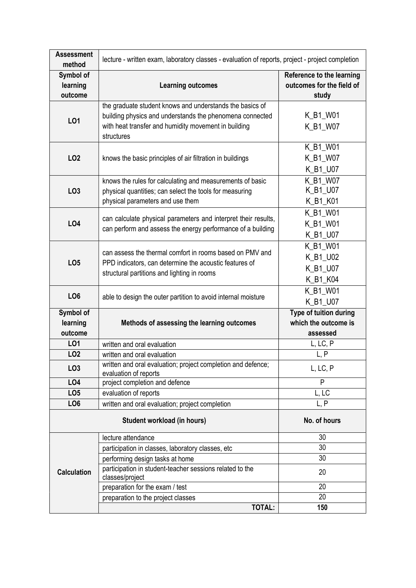| <b>Assessment</b><br>method      | lecture - written exam, laboratory classes - evaluation of reports, project - project completion                                                                                           |                                                                        |  |  |  |  |
|----------------------------------|--------------------------------------------------------------------------------------------------------------------------------------------------------------------------------------------|------------------------------------------------------------------------|--|--|--|--|
| Symbol of<br>learning<br>outcome | <b>Learning outcomes</b>                                                                                                                                                                   | <b>Reference to the learning</b><br>outcomes for the field of<br>study |  |  |  |  |
| L01                              | the graduate student knows and understands the basics of<br>building physics and understands the phenomena connected<br>with heat transfer and humidity movement in building<br>structures | K_B1_W01<br>K_B1_W07                                                   |  |  |  |  |
| LO <sub>2</sub>                  | knows the basic principles of air filtration in buildings                                                                                                                                  | K_B1_W01<br>K_B1_W07<br>K_B1_U07                                       |  |  |  |  |
| LO <sub>3</sub>                  | knows the rules for calculating and measurements of basic<br>physical quantities; can select the tools for measuring<br>physical parameters and use them                                   | K_B1_W07<br>K_B1_U07<br>K_B1_K01                                       |  |  |  |  |
| <b>LO4</b>                       | can calculate physical parameters and interpret their results,<br>can perform and assess the energy performance of a building                                                              | K_B1_W01<br>K_B1_W01<br>K_B1_U07                                       |  |  |  |  |
| LO <sub>5</sub>                  | can assess the thermal comfort in rooms based on PMV and<br>PPD indicators, can determine the acoustic features of<br>structural partitions and lighting in rooms                          | K_B1_W01<br>K_B1_U02<br>K_B1_U07<br>K_B1_K04                           |  |  |  |  |
| LO <sub>6</sub>                  | able to design the outer partition to avoid internal moisture                                                                                                                              | K_B1_W01<br>K_B1_U07                                                   |  |  |  |  |
| Symbol of<br>learning<br>outcome | Methods of assessing the learning outcomes                                                                                                                                                 | Type of tuition during<br>which the outcome is<br>assessed             |  |  |  |  |
| LO1                              | written and oral evaluation                                                                                                                                                                | L, LC, P                                                               |  |  |  |  |
| LO <sub>2</sub>                  | written and oral evaluation                                                                                                                                                                | L, P                                                                   |  |  |  |  |
| LO <sub>3</sub>                  | written and oral evaluation; project completion and defence;<br>evaluation of reports                                                                                                      | L, LC, P                                                               |  |  |  |  |
| <b>LO4</b>                       | project completion and defence                                                                                                                                                             | P                                                                      |  |  |  |  |
| LO <sub>5</sub>                  | evaluation of reports                                                                                                                                                                      | L, LC                                                                  |  |  |  |  |
| LO <sub>6</sub>                  | written and oral evaluation; project completion                                                                                                                                            | L, P                                                                   |  |  |  |  |
|                                  | No. of hours                                                                                                                                                                               |                                                                        |  |  |  |  |
|                                  | lecture attendance                                                                                                                                                                         | 30                                                                     |  |  |  |  |
| <b>Calculation</b>               | participation in classes, laboratory classes, etc                                                                                                                                          | 30                                                                     |  |  |  |  |
|                                  | performing design tasks at home                                                                                                                                                            | 30                                                                     |  |  |  |  |
|                                  | participation in student-teacher sessions related to the<br>classes/project                                                                                                                | 20                                                                     |  |  |  |  |
|                                  | preparation for the exam / test                                                                                                                                                            | 20                                                                     |  |  |  |  |
|                                  | preparation to the project classes                                                                                                                                                         | 20                                                                     |  |  |  |  |
|                                  | <b>TOTAL:</b>                                                                                                                                                                              | 150                                                                    |  |  |  |  |